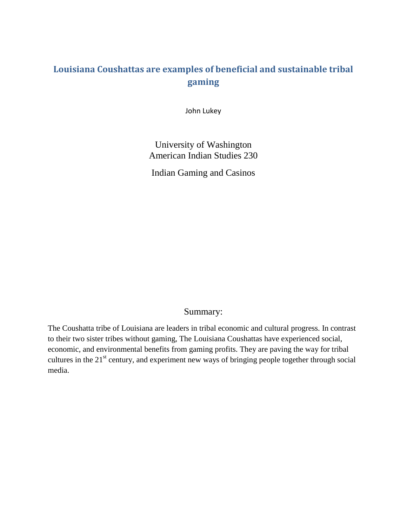## **Louisiana Coushattas are examples of beneficial and sustainable tribal gaming**

John Lukey

University of Washington American Indian Studies 230

Indian Gaming and Casinos

## Summary:

The Coushatta tribe of Louisiana are leaders in tribal economic and cultural progress. In contrast to their two sister tribes without gaming, The Louisiana Coushattas have experienced social, economic, and environmental benefits from gaming profits. They are paving the way for tribal cultures in the  $21<sup>st</sup>$  century, and experiment new ways of bringing people together through social media.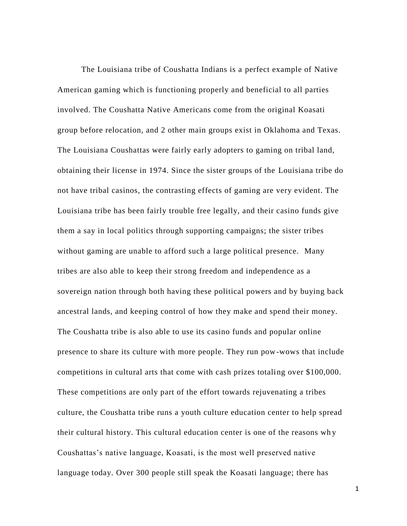The Louisiana tribe of Coushatta Indians is a perfect example of Native American gaming which is functioning properly and beneficial to all parties involved. The Coushatta Native Americans come from the original Koasati group before relocation, and 2 other main groups exist in Oklahoma and Texas. The Louisiana Coushattas were fairly early adopters to gaming on tribal land, obtaining their license in 1974. Since the sister groups of the Louisiana tribe do not have tribal casinos, the contrasting effects of gaming are very evident. The Louisiana tribe has been fairly trouble free legally, and their casino funds give them a say in local politics through supporting campaigns; the sister tribes without gaming are unable to afford such a large political presence. Many tribes are also able to keep their strong freedom and independence as a sovereign nation through both having these political powers and by buying back ancestral lands, and keeping control of how they make and spend their money. The Coushatta tribe is also able to use its casino funds and popular online presence to share its culture with more people. They run pow-wows that include competitions in cultural arts that come with cash prizes totaling over \$100,000. These competitions are only part of the effort towards rejuvenating a tribes culture, the Coushatta tribe runs a youth culture education center to help spread their cultural history. This cultural education center is one of the reasons wh y Coushattas's native language, Koasati, is the most well preserved native language today. Over 300 people still speak the Koasati language; there has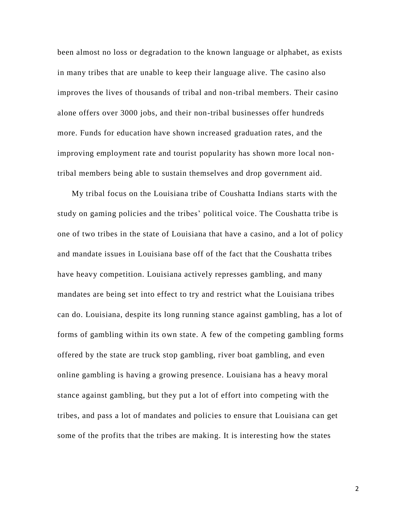been almost no loss or degradation to the known language or alphabet, as exists in many tribes that are unable to keep their language alive. The casino also improves the lives of thousands of tribal and non-tribal members. Their casino alone offers over 3000 jobs, and their non-tribal businesses offer hundreds more. Funds for education have shown increased graduation rates, and the improving employment rate and tourist popularity has shown more local nontribal members being able to sustain themselves and drop government aid.

My tribal focus on the Louisiana tribe of Coushatta Indians starts with the study on gaming policies and the tribes' political voice. The Coushatta tribe is one of two tribes in the state of Louisiana that have a casino, and a lot of policy and mandate issues in Louisiana base off of the fact that the Coushatta tribes have heavy competition. Louisiana actively represses gambling, and many mandates are being set into effect to try and restrict what the Louisiana tribes can do. Louisiana, despite its long running stance against gambling, has a lot of forms of gambling within its own state. A few of the competing gambling forms offered by the state are truck stop gambling, river boat gambling, and even online gambling is having a growing presence. Louisiana has a heavy moral stance against gambling, but they put a lot of effort into competing with the tribes, and pass a lot of mandates and policies to ensure that Louisiana can get some of the profits that the tribes are making. It is interesting how the states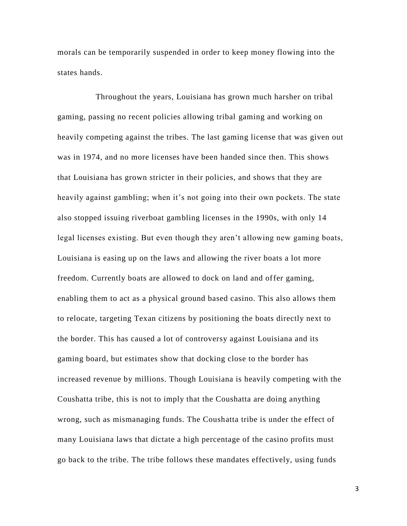morals can be temporarily suspended in order to keep money flowing into the states hands.

 Throughout the years, Louisiana has grown much harsher on tribal gaming, passing no recent policies allowing tribal gaming and working on heavily competing against the tribes. The last gaming license that was given out was in 1974, and no more licenses have been handed since then. This shows that Louisiana has grown stricter in their policies, and shows that they are heavily against gambling; when it's not going into their own pockets. The state also stopped issuing riverboat gambling licenses in the 1990s, with only 14 legal licenses existing. But even though they aren't allowing new gaming boats, Louisiana is easing up on the laws and allowing the river boats a lot more freedom. Currently boats are allowed to dock on land and offer gaming, enabling them to act as a physical ground based casino. This also allows them to relocate, targeting Texan citizens by positioning the boats directly next to the border. This has caused a lot of controversy against Louisiana and its gaming board, but estimates show that docking close to the border has increased revenue by millions. Though Louisiana is heavily competing with the Coushatta tribe, this is not to imply that the Coushatta are doing anything wrong, such as mismanaging funds. The Coushatta tribe is under the effect of many Louisiana laws that dictate a high percentage of the casino profits must go back to the tribe. The tribe follows these mandates effectively, using funds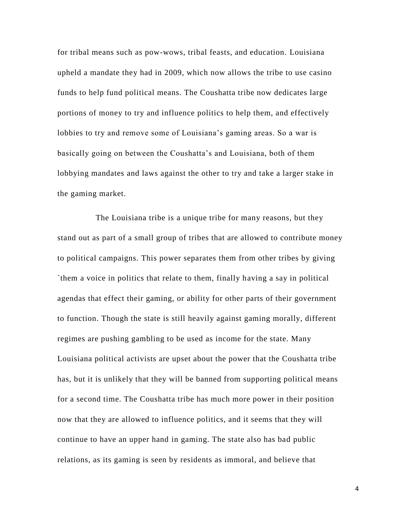for tribal means such as pow-wows, tribal feasts, and education. Louisiana upheld a mandate they had in 2009, which now allows the tribe to use casino funds to help fund political means. The Coushatta tribe now dedicates large portions of money to try and influence politics to help them, and effectively lobbies to try and remove some of Louisiana's gaming areas. So a war is basically going on between the Coushatta's and Louisiana, both of them lobbying mandates and laws against the other to try and take a larger stake in the gaming market.

 The Louisiana tribe is a unique tribe for many reasons, but they stand out as part of a small group of tribes that are allowed to contribute money to political campaigns. This power separates them from other tribes by giving `them a voice in politics that relate to them, finally having a say in political agendas that effect their gaming, or ability for other parts of their government to function. Though the state is still heavily against gaming morally, different regimes are pushing gambling to be used as income for the state. Many Louisiana political activists are upset about the power that the Coushatta tribe has, but it is unlikely that they will be banned from supporting political means for a second time. The Coushatta tribe has much more power in their position now that they are allowed to influence politics, and it seems that they will continue to have an upper hand in gaming. The state also has bad public relations, as its gaming is seen by residents as immoral, and believe that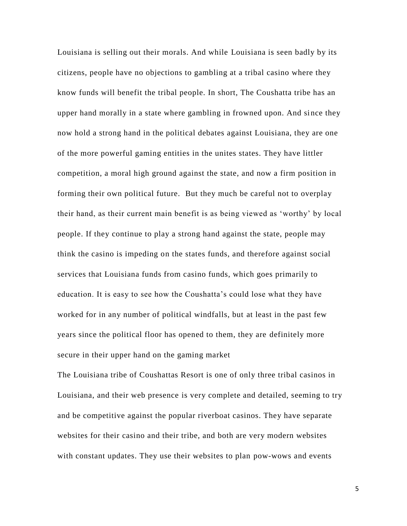Louisiana is selling out their morals. And while Louisiana is seen badly by its citizens, people have no objections to gambling at a tribal casino where they know funds will benefit the tribal people. In short, The Coushatta tribe has an upper hand morally in a state where gambling in frowned upon. And since they now hold a strong hand in the political debates against Louisiana, they are one of the more powerful gaming entities in the unites states. They have littler competition, a moral high ground against the state, and now a firm position in forming their own political future. But they much be careful not to overplay their hand, as their current main benefit is as being viewed as 'worthy' by local people. If they continue to play a strong hand against the state, people may think the casino is impeding on the states funds, and therefore against social services that Louisiana funds from casino funds, which goes primarily to education. It is easy to see how the Coushatta's could lose what they have worked for in any number of political windfalls, but at least in the past few years since the political floor has opened to them, they are definitely more secure in their upper hand on the gaming market

The Louisiana tribe of Coushattas Resort is one of only three tribal casinos in Louisiana, and their web presence is very complete and detailed, seeming to try and be competitive against the popular riverboat casinos. They have separate websites for their casino and their tribe, and both are very modern websites with constant updates. They use their websites to plan pow-wows and events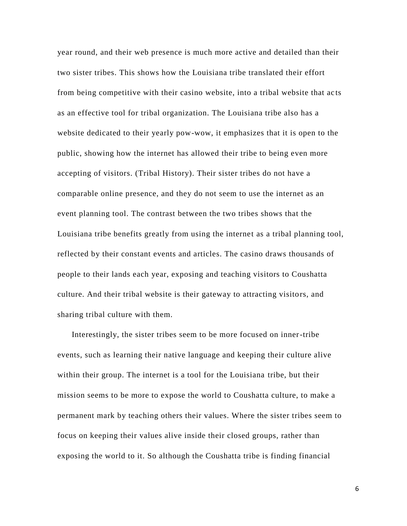year round, and their web presence is much more active and detailed than their two sister tribes. This shows how the Louisiana tribe translated their effort from being competitive with their casino website, into a tribal website that ac ts as an effective tool for tribal organization. The Louisiana tribe also has a website dedicated to their yearly pow-wow, it emphasizes that it is open to the public, showing how the internet has allowed their tribe to being even more accepting of visitors. (Tribal History). Their sister tribes do not have a comparable online presence, and they do not seem to use the internet as an event planning tool. The contrast between the two tribes shows that the Louisiana tribe benefits greatly from using the internet as a tribal planning tool, reflected by their constant events and articles. The casino draws thousands of people to their lands each year, exposing and teaching visitors to Coushatta culture. And their tribal website is their gateway to attracting visito rs, and sharing tribal culture with them.

Interestingly, the sister tribes seem to be more focused on inner-tribe events, such as learning their native language and keeping their culture alive within their group. The internet is a tool for the Louisiana tribe, but their mission seems to be more to expose the world to Coushatta culture, to make a permanent mark by teaching others their values. Where the sister tribes seem to focus on keeping their values alive inside their closed groups, rather than exposing the world to it. So although the Coushatta tribe is finding financial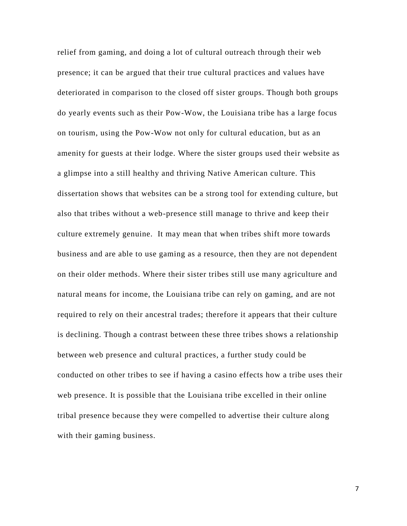relief from gaming, and doing a lot of cultural outreach through their web presence; it can be argued that their true cultural practices and values have deteriorated in comparison to the closed off sister groups. Though both groups do yearly events such as their Pow-Wow, the Louisiana tribe has a large focus on tourism, using the Pow-Wow not only for cultural education, but as an amenity for guests at their lodge. Where the sister groups used their website as a glimpse into a still healthy and thriving Native American culture. This dissertation shows that websites can be a strong tool for extending culture, but also that tribes without a web-presence still manage to thrive and keep their culture extremely genuine. It may mean that when tribes shift more towards business and are able to use gaming as a resource, then they are not dependent on their older methods. Where their sister tribes still use many agriculture and natural means for income, the Louisiana tribe can rely on gaming, and are not required to rely on their ancestral trades; therefore it appears that their culture is declining. Though a contrast between these three tribes shows a relationship between web presence and cultural practices, a further study could be conducted on other tribes to see if having a casino effects how a tribe uses their web presence. It is possible that the Louisiana tribe excelled in their online tribal presence because they were compelled to advertise their culture along with their gaming business.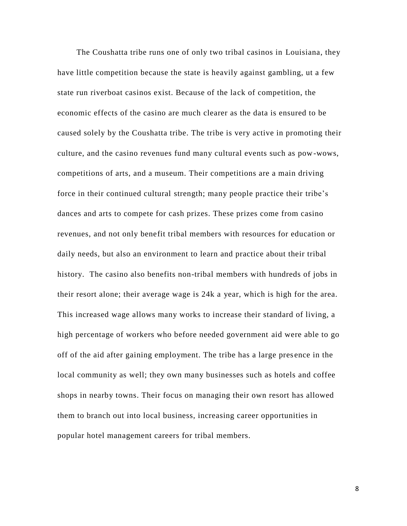The Coushatta tribe runs one of only two tribal casinos in Louisiana, they have little competition because the state is heavily against gambling, ut a few state run riverboat casinos exist. Because of the lack of competition, the economic effects of the casino are much clearer as the data is ensured to be caused solely by the Coushatta tribe. The tribe is very active in promoting their culture, and the casino revenues fund many cultural events such as pow-wows, competitions of arts, and a museum. Their competitions are a main driving force in their continued cultural strength; many people practice their tribe's dances and arts to compete for cash prizes. These prizes come from casino revenues, and not only benefit tribal members with resources for education or daily needs, but also an environment to learn and practice about their tribal history. The casino also benefits non-tribal members with hundreds of jobs in their resort alone; their average wage is 24k a year, which is high for the area. This increased wage allows many works to increase their standard of living, a high percentage of workers who before needed government aid were able to go off of the aid after gaining employment. The tribe has a large pres ence in the local community as well; they own many businesses such as hotels and coffee shops in nearby towns. Their focus on managing their own resort has allowed them to branch out into local business, increasing career opportunities in popular hotel management careers for tribal members.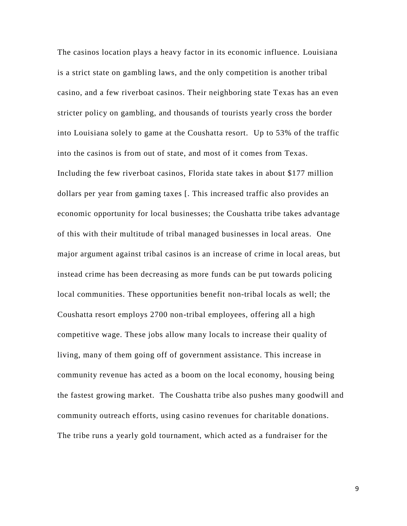The casinos location plays a heavy factor in its economic influence. Louisiana is a strict state on gambling laws, and the only competition is another tribal casino, and a few riverboat casinos. Their neighboring state Texas has an even stricter policy on gambling, and thousands of tourists yearly cross the border into Louisiana solely to game at the Coushatta resort. Up to 53% of the traffic into the casinos is from out of state, and most of it comes from Texas. Including the few riverboat casinos, Florida state takes in about \$177 million dollars per year from gaming taxes [. This increased traffic also provides an economic opportunity for local businesses; the Coushatta tribe takes advantage of this with their multitude of tribal managed businesses in local areas. One major argument against tribal casinos is an increase of crime in local areas, but instead crime has been decreasing as more funds can be put towards policing local communities. These opportunities benefit non-tribal locals as well; the Coushatta resort employs 2700 non-tribal employees, offering all a high competitive wage. These jobs allow many locals to increase their quality of living, many of them going off of government assistance. This increase in community revenue has acted as a boom on the local economy, housing being the fastest growing market. The Coushatta tribe also pushes many goodwill and community outreach efforts, using casino revenues for charitable donations. The tribe runs a yearly gold tournament, which acted as a fundraiser for the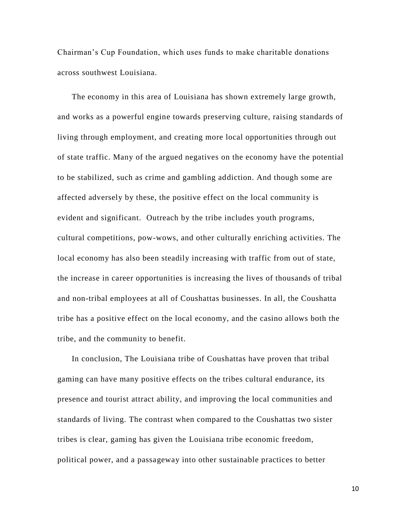Chairman's Cup Foundation, which uses funds to make charitable donations across southwest Louisiana.

 The economy in this area of Louisiana has shown extremely large growth, and works as a powerful engine towards preserving culture, raising standards of living through employment, and creating more local opportunities through out of state traffic. Many of the argued negatives on the economy have the potential to be stabilized, such as crime and gambling addiction. And though some are affected adversely by these, the positive effect on the local community is evident and significant. Outreach by the tribe includes youth programs, cultural competitions, pow-wows, and other culturally enriching activities. The local economy has also been steadily increasing with traffic from out of state, the increase in career opportunities is increasing the lives of thousands of tribal and non-tribal employees at all of Coushattas businesses. In all, the Coushatta tribe has a positive effect on the local economy, and the casino allows both the tribe, and the community to benefit.

In conclusion, The Louisiana tribe of Coushattas have proven that tribal gaming can have many positive effects on the tribes cultural endurance, its presence and tourist attract ability, and improving the local communities and standards of living. The contrast when compared to the Coushattas two sister tribes is clear, gaming has given the Louisiana tribe economic freedom, political power, and a passageway into other sustainable practices to better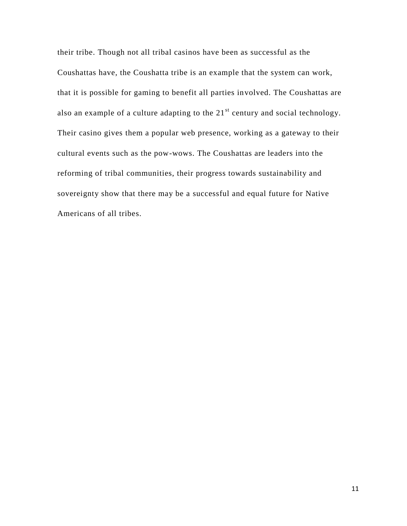their tribe. Though not all tribal casinos have been as successful as the Coushattas have, the Coushatta tribe is an example that the system can work, that it is possible for gaming to benefit all parties involved. The Coushattas are also an example of a culture adapting to the  $21<sup>st</sup>$  century and social technology. Their casino gives them a popular web presence, working as a gateway to their cultural events such as the pow-wows. The Coushattas are leaders into the reforming of tribal communities, their progress towards sustainability and sovereignty show that there may be a successful and equal future for Native Americans of all tribes.